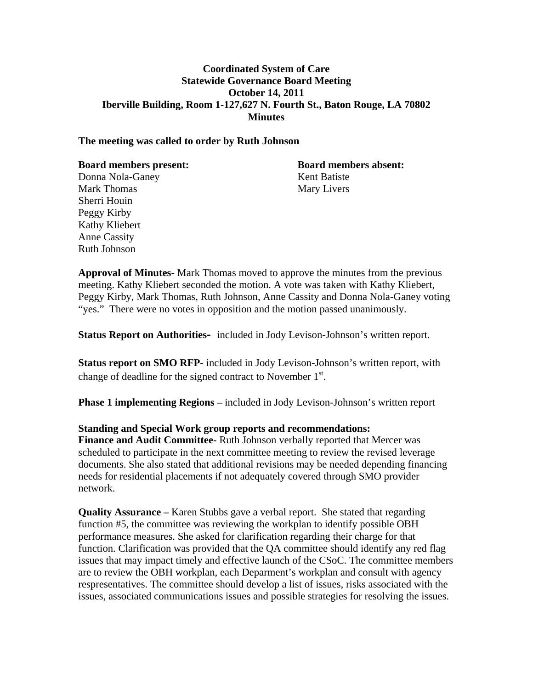### **Coordinated System of Care Statewide Governance Board Meeting October 14, 2011 Iberville Building, Room 1-127,627 N. Fourth St., Baton Rouge, LA 70802 Minutes**

#### **The meeting was called to order by Ruth Johnson**

| <b>Board members present:</b> | <b>Board members absent:</b> |
|-------------------------------|------------------------------|
| Donna Nola-Ganey              | Kent Batiste                 |
| <b>Mark Thomas</b>            | Mary Livers                  |
| Sherri Houin                  |                              |
| Peggy Kirby                   |                              |
| Kathy Kliebert                |                              |
| <b>Anne Cassity</b>           |                              |
| <b>Ruth Johnson</b>           |                              |

**Approval of Minutes-** Mark Thomas moved to approve the minutes from the previous meeting. Kathy Kliebert seconded the motion. A vote was taken with Kathy Kliebert, Peggy Kirby, Mark Thomas, Ruth Johnson, Anne Cassity and Donna Nola-Ganey voting "yes." There were no votes in opposition and the motion passed unanimously.

**Status Report on Authorities-** included in Jody Levison-Johnson's written report.

**Status report on SMO RFP**- included in Jody Levison-Johnson's written report, with change of deadline for the signed contract to November  $1<sup>st</sup>$ .

**Phase 1 implementing Regions –** included in Jody Levison-Johnson's written report

### **Standing and Special Work group reports and recommendations:**

**Finance and Audit Committee-** Ruth Johnson verbally reported that Mercer was scheduled to participate in the next committee meeting to review the revised leverage documents. She also stated that additional revisions may be needed depending financing needs for residential placements if not adequately covered through SMO provider network.

**Quality Assurance –** Karen Stubbs gave a verbal report. She stated that regarding function #5, the committee was reviewing the workplan to identify possible OBH performance measures. She asked for clarification regarding their charge for that function. Clarification was provided that the QA committee should identify any red flag issues that may impact timely and effective launch of the CSoC. The committee members are to review the OBH workplan, each Deparment's workplan and consult with agency respresentatives. The committee should develop a list of issues, risks associated with the issues, associated communications issues and possible strategies for resolving the issues.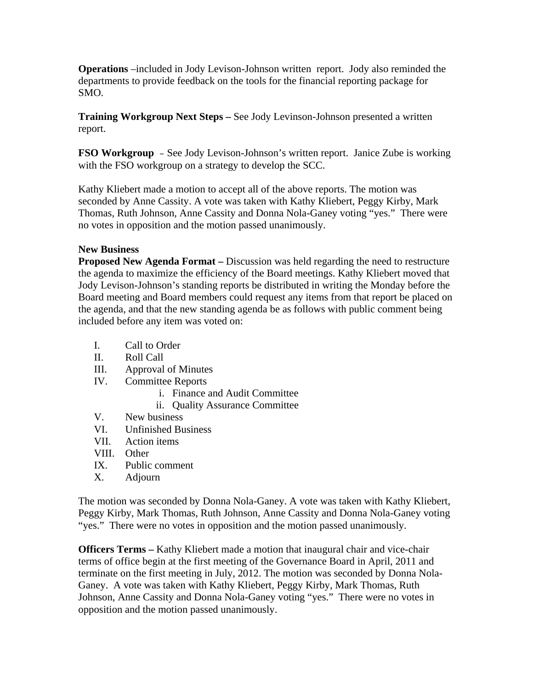**Operations** –included in Jody Levison-Johnson written report. Jody also reminded the departments to provide feedback on the tools for the financial reporting package for SMO.

**Training Workgroup Next Steps –** See Jody Levinson-Johnson presented a written report.

**FSO Workgroup** – See Jody Levison-Johnson's written report. Janice Zube is working with the FSO workgroup on a strategy to develop the SCC.

Kathy Kliebert made a motion to accept all of the above reports. The motion was seconded by Anne Cassity. A vote was taken with Kathy Kliebert, Peggy Kirby, Mark Thomas, Ruth Johnson, Anne Cassity and Donna Nola-Ganey voting "yes." There were no votes in opposition and the motion passed unanimously.

## **New Business**

**Proposed New Agenda Format –** Discussion was held regarding the need to restructure the agenda to maximize the efficiency of the Board meetings. Kathy Kliebert moved that Jody Levison-Johnson's standing reports be distributed in writing the Monday before the Board meeting and Board members could request any items from that report be placed on the agenda, and that the new standing agenda be as follows with public comment being included before any item was voted on:

- I. Call to Order
- II. Roll Call
- III. Approval of Minutes
- IV. Committee Reports
	- i. Finance and Audit Committee
	- ii. Quality Assurance Committee
- V. New business
- VI. Unfinished Business
- VII. Action items
- VIII. Other
- IX. Public comment
- X. Adjourn

The motion was seconded by Donna Nola-Ganey. A vote was taken with Kathy Kliebert, Peggy Kirby, Mark Thomas, Ruth Johnson, Anne Cassity and Donna Nola-Ganey voting "yes." There were no votes in opposition and the motion passed unanimously.

**Officers Terms –** Kathy Kliebert made a motion that inaugural chair and vice-chair terms of office begin at the first meeting of the Governance Board in April, 2011 and terminate on the first meeting in July, 2012. The motion was seconded by Donna Nola-Ganey. A vote was taken with Kathy Kliebert, Peggy Kirby, Mark Thomas, Ruth Johnson, Anne Cassity and Donna Nola-Ganey voting "yes." There were no votes in opposition and the motion passed unanimously.